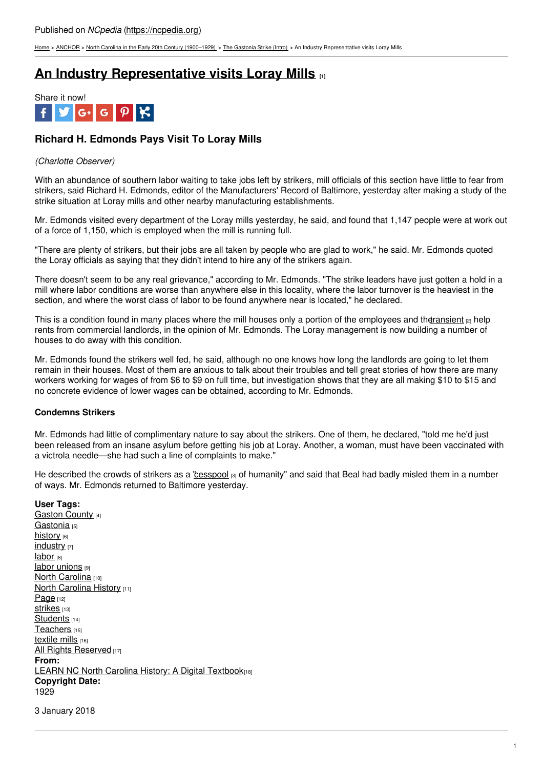[Home](https://ncpedia.org/) > [ANCHOR](https://ncpedia.org/anchor/anchor) > North Carolina in the Early 20th Century [\(1900–1929\)](https://ncpedia.org/anchor/north-carolina-early-20th) > The [Gastonia](https://ncpedia.org/anchor/gastonia-strike-intro) Strike (Intro) > An Industry Representative visits Loray Mills

# **An Industry [Representative](https://ncpedia.org/anchor/industry-representative) visits Loray Mills [1]**



## **Richard H. Edmonds Pays Visit To Loray Mills**

## *(Charlotte Observer)*

With an abundance of southern labor waiting to take jobs left by strikers, mill officials of this section have little to fear from strikers, said Richard H. Edmonds, editor of the Manufacturers' Record of Baltimore, yesterday after making a study of the strike situation at Loray mills and other nearby manufacturing establishments.

Mr. Edmonds visited every department of the Loray mills yesterday, he said, and found that 1,147 people were at work out of a force of 1,150, which is employed when the mill is running full.

"There are plenty of strikers, but their jobs are all [taken](http://www.social9.com) by people who are glad to work," he said. Mr. Edmonds quoted the Loray officials as saying that they didn't intend to hire any of the strikers again.

There doesn't seem to be any real grievance," according to Mr. Edmonds. "The strike leaders have just gotten a hold in a mill where labor conditions are worse than anywhere else in this locality, where the labor turnover is the heaviest in the section, and where the worst class of labor to be found anywhere near is located," he declared.

This is a condition found in many places where the mill houses only a portion of the employees and the ransient  $[2]$  help rents from commercial landlords, in the opinion of Mr. Edmonds. The Loray management is now building a number of houses to do away with this condition.

Mr. Edmonds found the strikers well fed, he said, although no one knows how long the landlords are going to let them remain in their houses. Most of them are anxious to talk about their troubles and tell great stories of how there are many workers working for wages of from \$6 to \$9 on full time, but investigation shows that they are all making \$10 to \$15 and no concrete evidence of lower wages can be obtained, according to Mr. Edmonds.

### **Condemns Strikers**

Mr. Edmonds had little of complimentary nature to say about the strikers. One of them, he declared, "told me he'd just been released from an insane asylum before getting his job at Loray. Another, a woman, must have been vaccinated with a victrola needle—she had such a line of complaints to make."

He described the crowds of strikers as a ["cesspool](https://ncpedia.org/glossary/cesspool) [3] of humanity" and said that Beal had badly misled them in a number of ways. Mr. Edmonds returned to Baltimore yesterday.

**User Tags:** [Gaston](https://ncpedia.org/category/user-tags/gaston-county) County [4] [Gastonia](https://ncpedia.org/category/user-tags/gastonia) [5] [history](https://ncpedia.org/category/user-tags/history) [6] [industry](https://ncpedia.org/category/user-tags/industry) [7] [labor](https://ncpedia.org/category/user-tags/labor) [8] labor [unions](https://ncpedia.org/category/user-tags/labor-unions) [9] North [Carolina](https://ncpedia.org/category/user-tags/north-carolina-5) [10] North [Carolina](https://ncpedia.org/category/user-tags/north-carolina-6) History [11] [Page](https://ncpedia.org/category/user-tags/page) [12] Strikes [13] [Students](https://ncpedia.org/category/user-tags/students) [14] [Teachers](https://ncpedia.org/category/user-tags/teachers) [15] [textile](https://ncpedia.org/category/user-tags/textile-mills) mills [16] All Rights [Reserved](https://ncpedia.org/category/user-tags/all-rights) [17] **From:** LEARN NC North Carolina History: A Digital [Textbook](https://ncpedia.org/category/entry-source/learn-nc)[18] **Copyright Date:** 1929

3 January 2018